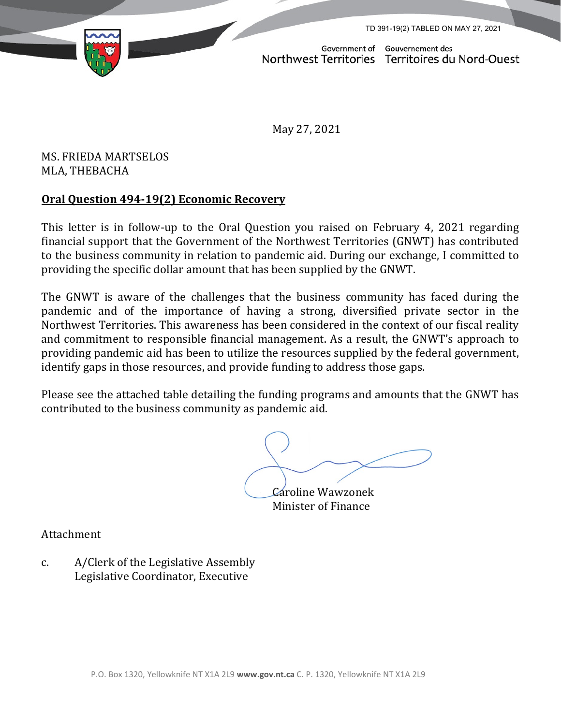TD 391-19(2) TABLED ON MAY 27, 2021



Government of Gouvernement des Northwest Territories Territoires du Nord-Ouest

May 27, 2021

MS. FRIEDA MARTSELOS MLA, THEBACHA

## **Oral Question 494-19(2) Economic Recovery**

This letter is in follow-up to the Oral Question you raised on February 4, 2021 regarding financial support that the Government of the Northwest Territories (GNWT) has contributed to the business community in relation to pandemic aid. During our exchange, I committed to providing the specific dollar amount that has been supplied by the GNWT.

The GNWT is aware of the challenges that the business community has faced during the pandemic and of the importance of having a strong, diversified private sector in the Northwest Territories. This awareness has been considered in the context of our fiscal reality and commitment to responsible financial management. As a result, the GNWT's approach to providing pandemic aid has been to utilize the resources supplied by the federal government, identify gaps in those resources, and provide funding to address those gaps.

Please see the attached table detailing the funding programs and amounts that the GNWT has contributed to the business community as pandemic aid.

Caroline Wawzonek

Minister of Finance

Attachment

c. A/Clerk of the Legislative Assembly Legislative Coordinator, Executive